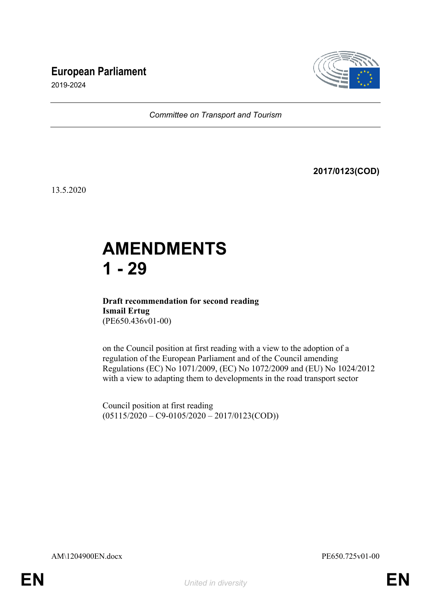## **European Parliament**



2019-2024

*Committee on Transport and Tourism*

**2017/0123(COD)**

13.5.2020

# **AMENDMENTS 1 - 29**

### **Draft recommendation for second reading Ismail Ertug** (PE650.436v01-00)

on the Council position at first reading with a view to the adoption of a regulation of the European Parliament and of the Council amending Regulations (EC) No 1071/2009, (EC) No 1072/2009 and (EU) No 1024/2012 with a view to adapting them to developments in the road transport sector

Council position at first reading  $(05115/2020 - C9 - 0105/2020 - 2017/0123(COD))$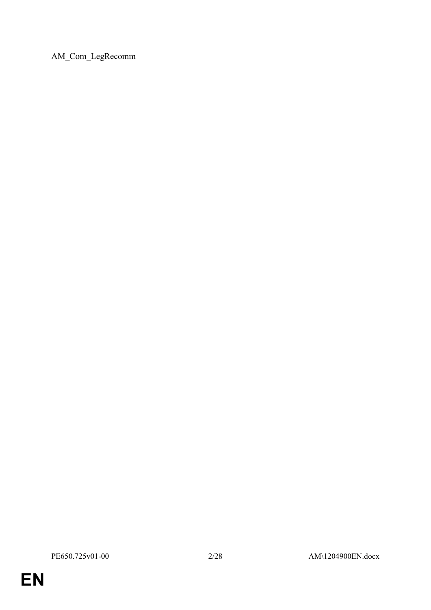AM\_Com\_LegRecomm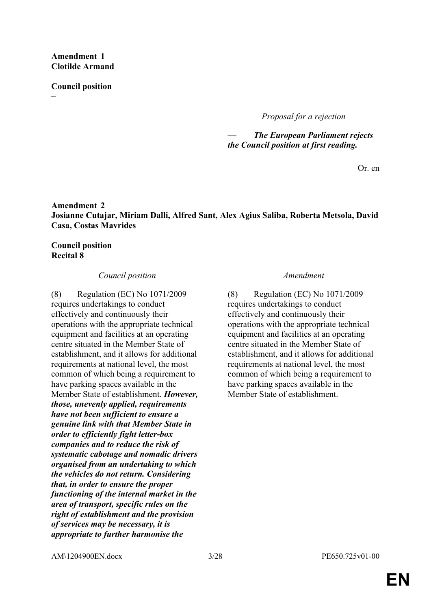#### **Amendment 1 Clotilde Armand**

**Council position**

**–**

*Proposal for a rejection*

*— The European Parliament rejects the Council position at first reading.*

Or. en

### **Amendment 2 Josianne Cutajar, Miriam Dalli, Alfred Sant, Alex Agius Saliba, Roberta Metsola, David Casa, Costas Mavrides**

### **Council position Recital 8**

### *Council position Amendment*

(8) Regulation (EC) No 1071/2009 requires undertakings to conduct effectively and continuously their operations with the appropriate technical equipment and facilities at an operating centre situated in the Member State of establishment, and it allows for additional requirements at national level, the most common of which being a requirement to have parking spaces available in the Member State of establishment. *However, those, unevenly applied, requirements have not been sufficient to ensure a genuine link with that Member State in order to efficiently fight letter-box companies and to reduce the risk of systematic cabotage and nomadic drivers organised from an undertaking to which the vehicles do not return. Considering that, in order to ensure the proper functioning of the internal market in the area of transport, specific rules on the right of establishment and the provision of services may be necessary, it is appropriate to further harmonise the* 

(8) Regulation (EC) No 1071/2009 requires undertakings to conduct effectively and continuously their operations with the appropriate technical equipment and facilities at an operating centre situated in the Member State of establishment, and it allows for additional requirements at national level, the most common of which being a requirement to have parking spaces available in the Member State of establishment.

AM\1204900EN.docx 3/28 PE650.725v01-00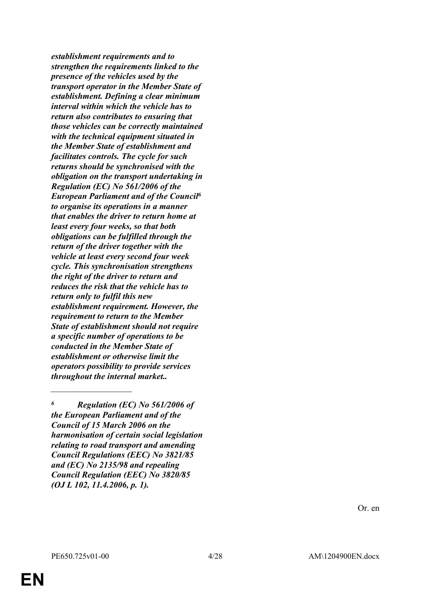*establishment requirements and to strengthen the requirements linked to the presence of the vehicles used by the transport operator in the Member State of establishment. Defining a clear minimum interval within which the vehicle has to return also contributes to ensuring that those vehicles can be correctly maintained with the technical equipment situated in the Member State of establishment and facilitates controls. The cycle for such returns should be synchronised with the obligation on the transport undertaking in Regulation (EC) No 561/2006 of the European Parliament and of the Council<sup>6</sup> to organise its operations in a manner that enables the driver to return home at least every four weeks, so that both obligations can be fulfilled through the return of the driver together with the vehicle at least every second four week cycle. This synchronisation strengthens the right of the driver to return and reduces the risk that the vehicle has to return only to fulfil this new establishment requirement. However, the requirement to return to the Member State of establishment should not require a specific number of operations to be conducted in the Member State of establishment or otherwise limit the operators possibility to provide services throughout the internal market..*

*<sup>6</sup> Regulation (EC) No 561/2006 of the European Parliament and of the Council of 15 March 2006 on the harmonisation of certain social legislation relating to road transport and amending Council Regulations (EEC) No 3821/85 and (EC) No 2135/98 and repealing Council Regulation (EEC) No 3820/85 (OJ L 102, 11.4.2006, p. 1).*

Or. en

*\_\_\_\_\_\_\_\_\_\_\_\_\_\_\_\_\_\_\_\_\_\_\_\_\_\_\_\_*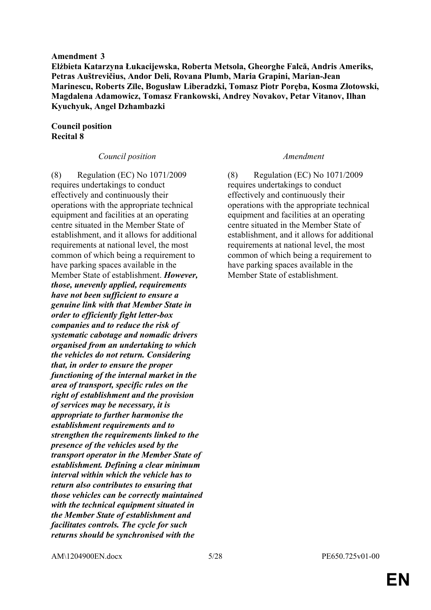#### **Amendment 3**

**Elżbieta Katarzyna Łukacijewska, Roberta Metsola, Gheorghe Falcă, Andris Ameriks, Petras Auštrevičius, Andor Deli, Rovana Plumb, Maria Grapini, Marian-Jean Marinescu, Roberts Zīle, Bogusław Liberadzki, Tomasz Piotr Poręba, Kosma Złotowski, Magdalena Adamowicz, Tomasz Frankowski, Andrey Novakov, Petar Vitanov, Ilhan Kyuchyuk, Angel Dzhambazki**

#### **Council position Recital 8**

#### *Council position Amendment*

(8) Regulation (EC) No 1071/2009 requires undertakings to conduct effectively and continuously their operations with the appropriate technical equipment and facilities at an operating centre situated in the Member State of establishment, and it allows for additional requirements at national level, the most common of which being a requirement to have parking spaces available in the Member State of establishment. *However, those, unevenly applied, requirements have not been sufficient to ensure a genuine link with that Member State in order to efficiently fight letter-box companies and to reduce the risk of systematic cabotage and nomadic drivers organised from an undertaking to which the vehicles do not return. Considering that, in order to ensure the proper functioning of the internal market in the area of transport, specific rules on the right of establishment and the provision of services may be necessary, it is appropriate to further harmonise the establishment requirements and to strengthen the requirements linked to the presence of the vehicles used by the transport operator in the Member State of establishment. Defining a clear minimum interval within which the vehicle has to return also contributes to ensuring that those vehicles can be correctly maintained with the technical equipment situated in the Member State of establishment and facilitates controls. The cycle for such returns should be synchronised with the* 

(8) Regulation (EC) No 1071/2009 requires undertakings to conduct effectively and continuously their operations with the appropriate technical equipment and facilities at an operating centre situated in the Member State of establishment, and it allows for additional requirements at national level, the most common of which being a requirement to have parking spaces available in the Member State of establishment.

AM\1204900EN.docx 5/28 PE650.725v01-00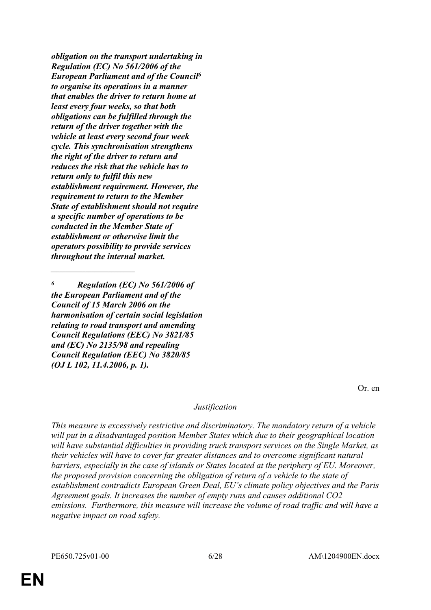*obligation on the transport undertaking in Regulation (EC) No 561/2006 of the European Parliament and of the Council<sup>6</sup> to organise its operations in a manner that enables the driver to return home at least every four weeks, so that both obligations can be fulfilled through the return of the driver together with the vehicle at least every second four week cycle. This synchronisation strengthens the right of the driver to return and reduces the risk that the vehicle has to return only to fulfil this new establishment requirement. However, the requirement to return to the Member State of establishment should not require a specific number of operations to be conducted in the Member State of establishment or otherwise limit the operators possibility to provide services throughout the internal market.*

*<sup>6</sup> Regulation (EC) No 561/2006 of the European Parliament and of the Council of 15 March 2006 on the harmonisation of certain social legislation relating to road transport and amending Council Regulations (EEC) No 3821/85 and (EC) No 2135/98 and repealing Council Regulation (EEC) No 3820/85 (OJ L 102, 11.4.2006, p. 1).*

*\_\_\_\_\_\_\_\_\_\_\_\_\_\_\_\_\_\_\_\_\_\_\_\_\_\_\_\_\_*

Or. en

#### *Justification*

*This measure is excessively restrictive and discriminatory. The mandatory return of a vehicle will put in a disadvantaged position Member States which due to their geographical location will have substantial difficulties in providing truck transport services on the Single Market, as their vehicles will have to cover far greater distances and to overcome significant natural barriers, especially in the case of islands or States located at the periphery of EU. Moreover, the proposed provision concerning the obligation of return of a vehicle to the state of establishment contradicts European Green Deal, EU's climate policy objectives and the Paris Agreement goals. It increases the number of empty runs and causes additional CO2 emissions. Furthermore, this measure will increase the volume of road traffic and will have a negative impact on road safety.*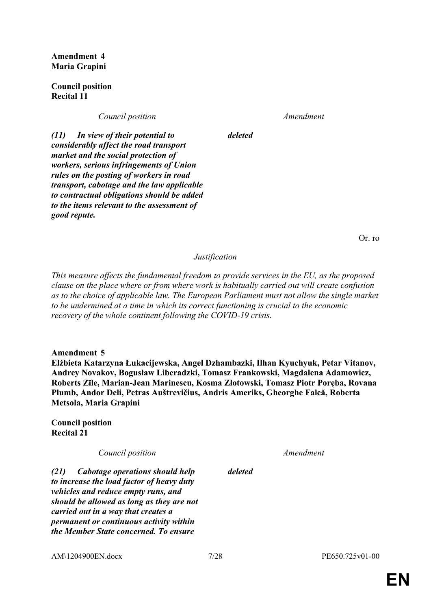**Amendment 4 Maria Grapini**

**Council position Recital 11**

*Council position Amendment*

*deleted*

*(11) In view of their potential to considerably affect the road transport market and the social protection of workers, serious infringements of Union rules on the posting of workers in road transport, cabotage and the law applicable to contractual obligations should be added to the items relevant to the assessment of good repute.*

Or. ro

#### *Justification*

*This measure affects the fundamental freedom to provide services in the EU, as the proposed clause on the place where or from where work is habitually carried out will create confusion as to the choice of applicable law. The European Parliament must not allow the single market to be undermined at a time in which its correct functioning is crucial to the economic recovery of the whole continent following the COVID-19 crisis.*

**Amendment 5**

**Elżbieta Katarzyna Łukacijewska, Angel Dzhambazki, Ilhan Kyuchyuk, Petar Vitanov, Andrey Novakov, Bogusław Liberadzki, Tomasz Frankowski, Magdalena Adamowicz, Roberts Zīle, Marian-Jean Marinescu, Kosma Złotowski, Tomasz Piotr Poręba, Rovana Plumb, Andor Deli, Petras Auštrevičius, Andris Ameriks, Gheorghe Falcă, Roberta Metsola, Maria Grapini**

**Council position Recital 21**

*Council position Amendment*

*(21) Cabotage operations should help to increase the load factor of heavy duty vehicles and reduce empty runs, and should be allowed as long as they are not carried out in a way that creates a permanent or continuous activity within the Member State concerned. To ensure* 

*deleted*

AM\1204900EN.docx  $\frac{7}{28}$  7/28 PE650.725v01-00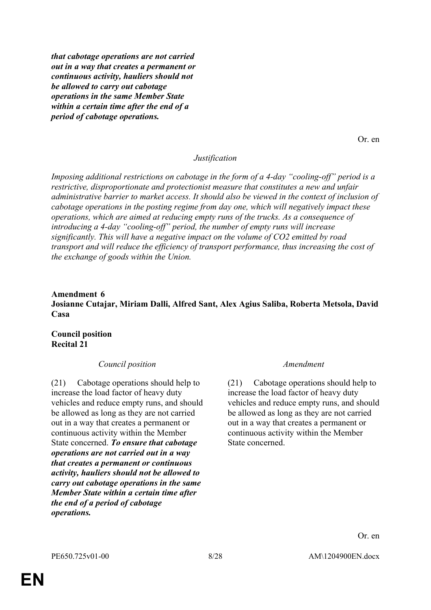*that cabotage operations are not carried out in a way that creates a permanent or continuous activity, hauliers should not be allowed to carry out cabotage operations in the same Member State within a certain time after the end of a period of cabotage operations.*

Or. en

#### *Justification*

*Imposing additional restrictions on cabotage in the form of a 4-day "cooling-off" period is a restrictive, disproportionate and protectionist measure that constitutes a new and unfair administrative barrier to market access. It should also be viewed in the context of inclusion of cabotage operations in the posting regime from day one, which will negatively impact these operations, which are aimed at reducing empty runs of the trucks. As a consequence of introducing a 4-day "cooling-off" period, the number of empty runs will increase significantly. This will have a negative impact on the volume of CO2 emitted by road transport and will reduce the efficiency of transport performance, thus increasing the cost of the exchange of goods within the Union.*

### **Amendment 6 Josianne Cutajar, Miriam Dalli, Alfred Sant, Alex Agius Saliba, Roberta Metsola, David Casa**

#### **Council position Recital 21**

#### *Council position Amendment*

(21) Cabotage operations should help to increase the load factor of heavy duty vehicles and reduce empty runs, and should be allowed as long as they are not carried out in a way that creates a permanent or continuous activity within the Member State concerned. *To ensure that cabotage operations are not carried out in a way that creates a permanent or continuous activity, hauliers should not be allowed to carry out cabotage operations in the same Member State within a certain time after the end of a period of cabotage operations.*

(21) Cabotage operations should help to increase the load factor of heavy duty vehicles and reduce empty runs, and should be allowed as long as they are not carried out in a way that creates a permanent or continuous activity within the Member State concerned.

Or. en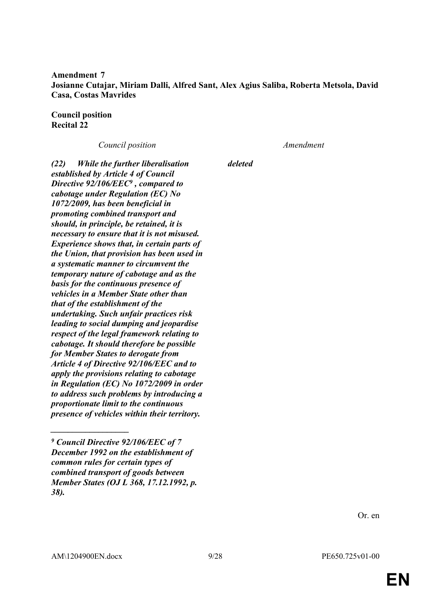**Amendment 7 Josianne Cutajar, Miriam Dalli, Alfred Sant, Alex Agius Saliba, Roberta Metsola, David Casa, Costas Mavrides**

**Council position Recital 22**

*Council position Amendment*

*(22) While the further liberalisation established by Article 4 of Council Directive 92/106/EEC<sup>9</sup> , compared to cabotage under Regulation (EC) No 1072/2009, has been beneficial in promoting combined transport and should, in principle, be retained, it is necessary to ensure that it is not misused. Experience shows that, in certain parts of the Union, that provision has been used in a systematic manner to circumvent the temporary nature of cabotage and as the basis for the continuous presence of vehicles in a Member State other than that of the establishment of the undertaking. Such unfair practices risk leading to social dumping and jeopardise respect of the legal framework relating to cabotage. It should therefore be possible for Member States to derogate from Article 4 of Directive 92/106/EEC and to apply the provisions relating to cabotage in Regulation (EC) No 1072/2009 in order to address such problems by introducing a proportionate limit to the continuous presence of vehicles within their territory.*

*deleted*

Or. en

*\_\_\_\_\_\_\_\_\_\_\_\_\_\_\_\_\_\_*

*<sup>9</sup> Council Directive 92/106/EEC of 7 December 1992 on the establishment of common rules for certain types of combined transport of goods between Member States (OJ L 368, 17.12.1992, p. 38).*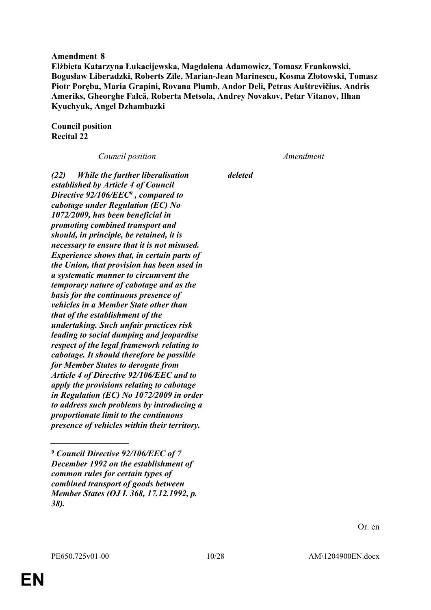#### **Amendment 8**

**Elżbieta Katarzyna Łukacijewska, Magdalena Adamowicz, Tomasz Frankowski, Bogusław Liberadzki, Roberts Zīle, Marian-Jean Marinescu, Kosma Złotowski, Tomasz Piotr Poręba, Maria Grapini, Rovana Plumb, Andor Deli, Petras Auštrevičius, Andris Ameriks, Gheorghe Falcă, Roberta Metsola, Andrey Novakov, Petar Vitanov, Ilhan Kyuchyuk, Angel Dzhambazki**

**Council position Recital 22**

*Council position Amendment*

*(22) While the further liberalisation established by Article 4 of Council Directive 92/106/EEC<sup>9</sup> , compared to cabotage under Regulation (EC) No 1072/2009, has been beneficial in promoting combined transport and should, in principle, be retained, it is necessary to ensure that it is not misused. Experience shows that, in certain parts of the Union, that provision has been used in a systematic manner to circumvent the temporary nature of cabotage and as the basis for the continuous presence of vehicles in a Member State other than that of the establishment of the undertaking. Such unfair practices risk leading to social dumping and jeopardise respect of the legal framework relating to cabotage. It should therefore be possible for Member States to derogate from Article 4 of Directive 92/106/EEC and to apply the provisions relating to cabotage in Regulation (EC) No 1072/2009 in order to address such problems by introducing a proportionate limit to the continuous presence of vehicles within their territory.*

*deleted*

*\_\_\_\_\_\_\_\_\_\_\_\_\_\_\_\_\_\_*

*<sup>9</sup> Council Directive 92/106/EEC of 7 December 1992 on the establishment of common rules for certain types of combined transport of goods between Member States (OJ L 368, 17.12.1992, p. 38).*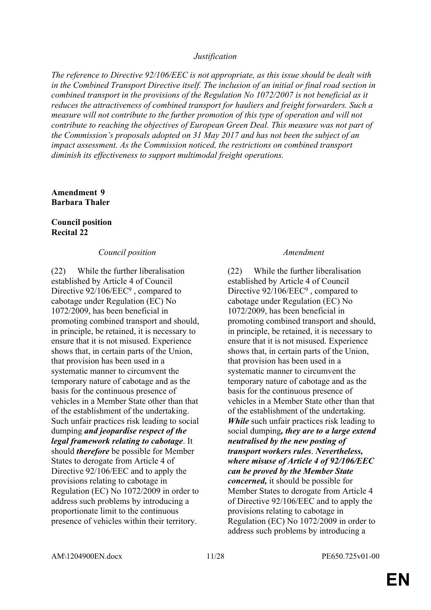#### *Justification*

*The reference to Directive 92/106/EEC is not appropriate, as this issue should be dealt with in the Combined Transport Directive itself. The inclusion of an initial or final road section in combined transport in the provisions of the Regulation No 1072/2007 is not beneficial as it reduces the attractiveness of combined transport for hauliers and freight forwarders. Such a measure will not contribute to the further promotion of this type of operation and will not contribute to reaching the objectives of European Green Deal. This measure was not part of the Commission's proposals adopted on 31 May 2017 and has not been the subject of an impact assessment. As the Commission noticed, the restrictions on combined transport diminish its effectiveness to support multimodal freight operations.*

### **Amendment 9 Barbara Thaler**

#### **Council position Recital 22**

#### *Council position Amendment*

(22) While the further liberalisation established by Article 4 of Council Directive 92/106/EEC<sup>9</sup>, compared to cabotage under Regulation (EC) No 1072/2009, has been beneficial in promoting combined transport and should, in principle, be retained, it is necessary to ensure that it is not misused. Experience shows that, in certain parts of the Union, that provision has been used in a systematic manner to circumvent the temporary nature of cabotage and as the basis for the continuous presence of vehicles in a Member State other than that of the establishment of the undertaking. Such unfair practices risk leading to social dumping *and jeopardise respect of the legal framework relating to cabotage*. It should *therefore* be possible for Member States to derogate from Article 4 of Directive 92/106/EEC and to apply the provisions relating to cabotage in Regulation (EC) No 1072/2009 in order to address such problems by introducing a proportionate limit to the continuous presence of vehicles within their territory.

(22) While the further liberalisation established by Article 4 of Council Directive 92/106/EEC<sup>9</sup>, compared to cabotage under Regulation (EC) No 1072/2009, has been beneficial in promoting combined transport and should, in principle, be retained, it is necessary to ensure that it is not misused. Experience shows that, in certain parts of the Union, that provision has been used in a systematic manner to circumvent the temporary nature of cabotage and as the basis for the continuous presence of vehicles in a Member State other than that of the establishment of the undertaking. *While* such unfair practices risk leading to social dumping*, they are to a large extend neutralised by the new posting of transport workers rules*. *Nevertheless, where misuse of Article 4 of 92/106/EEC can be proved by the Member State concerned,* it should be possible for Member States to derogate from Article 4 of Directive 92/106/EEC and to apply the provisions relating to cabotage in Regulation (EC) No 1072/2009 in order to address such problems by introducing a

AM\1204900EN.docx 11/28 PE650.725v01-00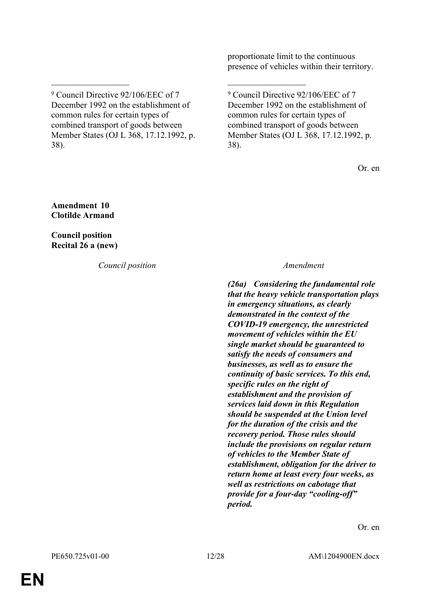proportionate limit to the continuous presence of vehicles within their territory.

 $\mathcal{L}_\text{max}$  , and the contract of the contract of the contract of the contract of the contract of the contract of

9 Council Directive 92/106/EEC of 7 December 1992 on the establishment of common rules for certain types of combined transport of goods between Member States (OJ L 368, 17.12.1992, p. 38).

Or. en

**Amendment 10 Clotilde Armand**

**Council position Recital 26 a (new)**

*Council position Amendment*

*(26a) Considering the fundamental role that the heavy vehicle transportation plays in emergency situations, as clearly demonstrated in the context of the COVID-19 emergency, the unrestricted movement of vehicles within the EU single market should be guaranteed to satisfy the needs of consumers and businesses, as well as to ensure the continuity of basic services. To this end, specific rules on the right of establishment and the provision of services laid down in this Regulation should be suspended at the Union level for the duration of the crisis and the recovery period. Those rules should include the provisions on regular return of vehicles to the Member State of establishment, obligation for the driver to return home at least every four weeks, as well as restrictions on cabotage that provide for a four-day "cooling-off" period.*

Or. en

<sup>9</sup> Council Directive 92/106/EEC of 7 December 1992 on the establishment of common rules for certain types of combined transport of goods between Member States (OJ L 368, 17.12.1992, p. 38).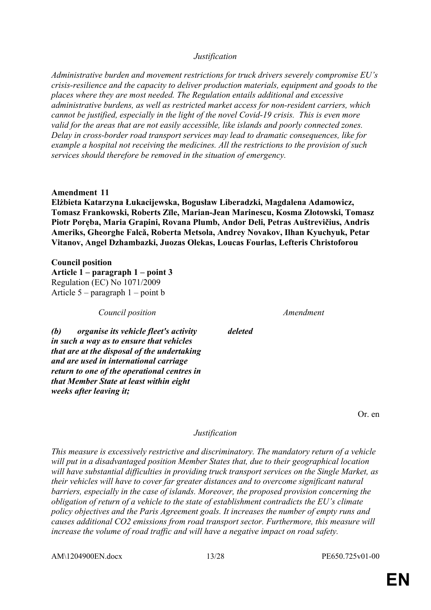#### *Justification*

*Administrative burden and movement restrictions for truck drivers severely compromise EU's crisis-resilience and the capacity to deliver production materials, equipment and goods to the places where they are most needed. The Regulation entails additional and excessive administrative burdens, as well as restricted market access for non-resident carriers, which cannot be justified, especially in the light of the novel Covid-19 crisis. This is even more valid for the areas that are not easily accessible, like islands and poorly connected zones. Delay in cross-border road transport services may lead to dramatic consequences, like for example a hospital not receiving the medicines. All the restrictions to the provision of such services should therefore be removed in the situation of emergency.*

#### **Amendment 11**

**Elżbieta Katarzyna Łukacijewska, Bogusław Liberadzki, Magdalena Adamowicz, Tomasz Frankowski, Roberts Zīle, Marian-Jean Marinescu, Kosma Złotowski, Tomasz Piotr Poręba, Maria Grapini, Rovana Plumb, Andor Deli, Petras Auštrevičius, Andris Ameriks, Gheorghe Falcă, Roberta Metsola, Andrey Novakov, Ilhan Kyuchyuk, Petar Vitanov, Angel Dzhambazki, Juozas Olekas, Loucas Fourlas, Lefteris Christoforou**

**Council position**

*weeks after leaving it;*

**Article 1 – paragraph 1 – point 3** Regulation (EC) No 1071/2009 Article 5 – paragraph 1 – point b

*Council position Amendment*

*(b) organise its vehicle fleet's activity in such a way as to ensure that vehicles that are at the disposal of the undertaking and are used in international carriage return to one of the operational centres in that Member State at least within eight* 

*deleted*

Or. en

#### *Justification*

*This measure is excessively restrictive and discriminatory. The mandatory return of a vehicle will put in a disadvantaged position Member States that, due to their geographical location will have substantial difficulties in providing truck transport services on the Single Market, as their vehicles will have to cover far greater distances and to overcome significant natural barriers, especially in the case of islands. Moreover, the proposed provision concerning the obligation of return of a vehicle to the state of establishment contradicts the EU's climate policy objectives and the Paris Agreement goals. It increases the number of empty runs and causes additional CO2 emissions from road transport sector. Furthermore, this measure will increase the volume of road traffic and will have a negative impact on road safety.*

AM\1204900EN.docx 13/28 PE650.725v01-00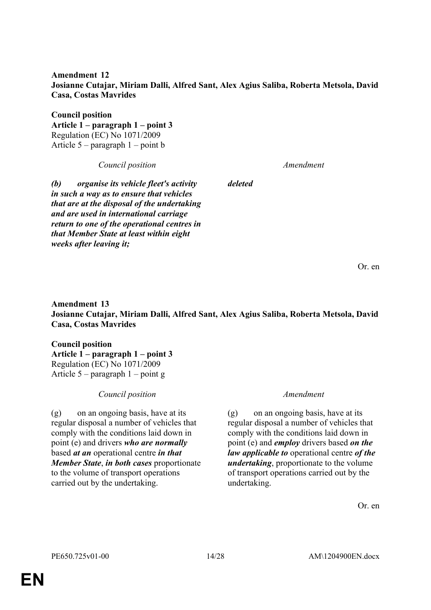**Amendment 12 Josianne Cutajar, Miriam Dalli, Alfred Sant, Alex Agius Saliba, Roberta Metsola, David Casa, Costas Mavrides**

*deleted*

**Council position Article 1 – paragraph 1 – point 3** Regulation (EC) No 1071/2009 Article 5 – paragraph 1 – point b

*Council position Amendment*

*(b) organise its vehicle fleet's activity in such a way as to ensure that vehicles that are at the disposal of the undertaking and are used in international carriage return to one of the operational centres in that Member State at least within eight weeks after leaving it;*

Or. en

**Amendment 13 Josianne Cutajar, Miriam Dalli, Alfred Sant, Alex Agius Saliba, Roberta Metsola, David Casa, Costas Mavrides**

**Council position Article 1 – paragraph 1 – point 3** Regulation (EC) No 1071/2009 Article 5 – paragraph 1 – point g

*Council position Amendment*

(g) on an ongoing basis, have at its regular disposal a number of vehicles that comply with the conditions laid down in point (e) and drivers *who are normally* based *at an* operational centre *in that Member State*, *in both cases* proportionate to the volume of transport operations carried out by the undertaking.

(g) on an ongoing basis, have at its regular disposal a number of vehicles that comply with the conditions laid down in point (e) and *employ* drivers based *on the law applicable to* operational centre *of the undertaking*, proportionate to the volume of transport operations carried out by the undertaking.

Or. en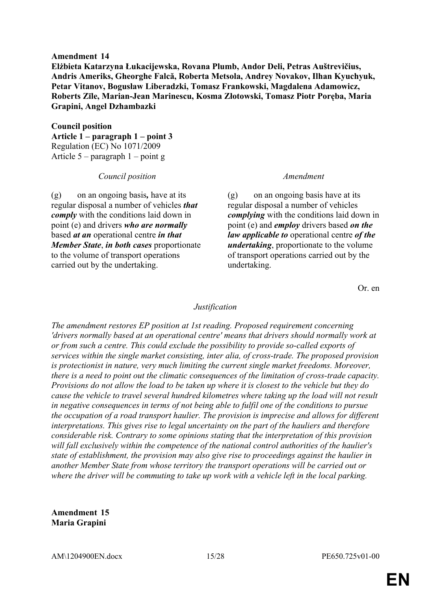#### **Amendment 14**

**Elżbieta Katarzyna Łukacijewska, Rovana Plumb, Andor Deli, Petras Auštrevičius, Andris Ameriks, Gheorghe Falcă, Roberta Metsola, Andrey Novakov, Ilhan Kyuchyuk, Petar Vitanov, Bogusław Liberadzki, Tomasz Frankowski, Magdalena Adamowicz, Roberts Zīle, Marian-Jean Marinescu, Kosma Złotowski, Tomasz Piotr Poręba, Maria Grapini, Angel Dzhambazki**

**Council position Article 1 – paragraph 1 – point 3** Regulation (EC) No 1071/2009 Article 5 – paragraph 1 – point g

#### *Council position Amendment*

(g) on an ongoing basis*,* have at its regular disposal a number of vehicles *that comply* with the conditions laid down in point (e) and drivers *who are normally* based *at an* operational centre *in that Member State*, *in both cases* proportionate to the volume of transport operations carried out by the undertaking.

(g) on an ongoing basis have at its regular disposal a number of vehicles *complying* with the conditions laid down in point (e) and *employ* drivers based *on the law applicable to* operational centre *of the undertaking*, proportionate to the volume of transport operations carried out by the undertaking.

Or. en

#### *Justification*

*The amendment restores EP position at 1st reading. Proposed requirement concerning 'drivers normally based at an operational centre' means that drivers should normally work at or from such a centre. This could exclude the possibility to provide so-called exports of services within the single market consisting, inter alia, of cross-trade. The proposed provision is protectionist in nature, very much limiting the current single market freedoms. Moreover, there is a need to point out the climatic consequences of the limitation of cross-trade capacity. Provisions do not allow the load to be taken up where it is closest to the vehicle but they do cause the vehicle to travel several hundred kilometres where taking up the load will not result in negative consequences in terms of not being able to fulfil one of the conditions to pursue the occupation of a road transport haulier. The provision is imprecise and allows for different interpretations. This gives rise to legal uncertainty on the part of the hauliers and therefore considerable risk. Contrary to some opinions stating that the interpretation of this provision will fall exclusively within the competence of the national control authorities of the haulier's state of establishment, the provision may also give rise to proceedings against the haulier in another Member State from whose territory the transport operations will be carried out or where the driver will be commuting to take up work with a vehicle left in the local parking.*

**Amendment 15 Maria Grapini**

AM\1204900EN.docx 15/28 PE650.725v01-00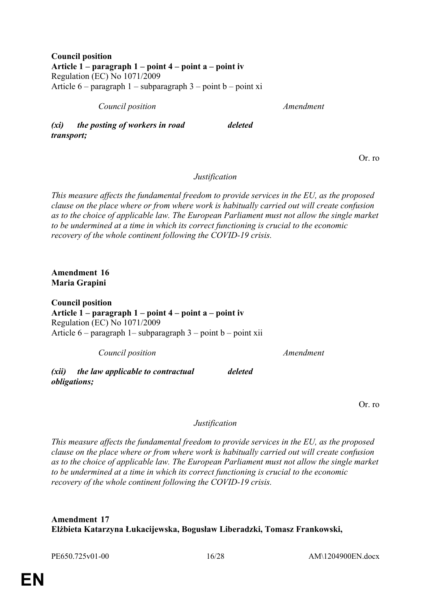**Council position Article 1 – paragraph 1 – point 4 – point a – point iv** Regulation (EC) No 1071/2009 Article  $6$  – paragraph  $1$  – subparagraph  $3$  – point b – point xi

*Council position Amendment*

*(xi) the posting of workers in road transport;*

Or. ro

*Justification*

*deleted*

*This measure affects the fundamental freedom to provide services in the EU, as the proposed clause on the place where or from where work is habitually carried out will create confusion as to the choice of applicable law. The European Parliament must not allow the single market to be undermined at a time in which its correct functioning is crucial to the economic recovery of the whole continent following the COVID-19 crisis.*

**Amendment 16 Maria Grapini**

**Council position Article 1 – paragraph 1 – point 4 – point a – point iv** Regulation (EC) No 1071/2009 Article  $6$  – paragraph 1– subparagraph  $3$  – point b – point xii

*Council position Amendment*

*(xii) the law applicable to contractual obligations;*

Or. ro

*Justification*

*deleted*

*This measure affects the fundamental freedom to provide services in the EU, as the proposed clause on the place where or from where work is habitually carried out will create confusion as to the choice of applicable law. The European Parliament must not allow the single market to be undermined at a time in which its correct functioning is crucial to the economic recovery of the whole continent following the COVID-19 crisis.*

**Amendment 17 Elżbieta Katarzyna Łukacijewska, Bogusław Liberadzki, Tomasz Frankowski,** 

PE650.725v01-00 16/28 AM\1204900EN.docx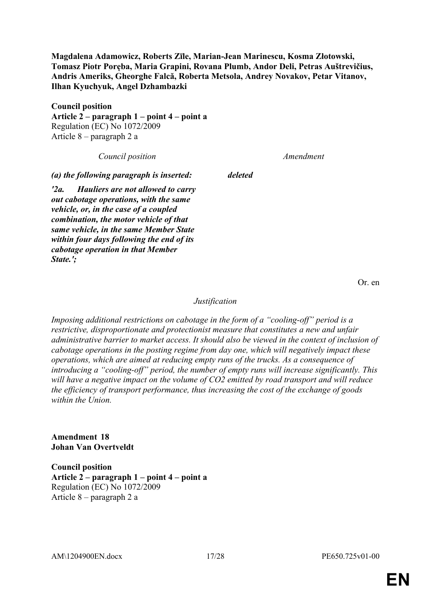**Magdalena Adamowicz, Roberts Zīle, Marian-Jean Marinescu, Kosma Złotowski, Tomasz Piotr Poręba, Maria Grapini, Rovana Plumb, Andor Deli, Petras Auštrevičius, Andris Ameriks, Gheorghe Falcă, Roberta Metsola, Andrey Novakov, Petar Vitanov, Ilhan Kyuchyuk, Angel Dzhambazki**

**Council position Article 2 – paragraph 1 – point 4 – point a** Regulation (EC) No 1072/2009 Article 8 – paragraph 2 a

*Council position Amendment*

*(a) the following paragraph is inserted: deleted*

*'2a. Hauliers are not allowed to carry out cabotage operations, with the same vehicle, or, in the case of a coupled combination, the motor vehicle of that same vehicle, in the same Member State within four days following the end of its cabotage operation in that Member State.';*

Or. en

#### *Justification*

*Imposing additional restrictions on cabotage in the form of a "cooling-off" period is a restrictive, disproportionate and protectionist measure that constitutes a new and unfair administrative barrier to market access. It should also be viewed in the context of inclusion of cabotage operations in the posting regime from day one, which will negatively impact these operations, which are aimed at reducing empty runs of the trucks. As a consequence of introducing a "cooling-off" period, the number of empty runs will increase significantly. This will have a negative impact on the volume of CO2 emitted by road transport and will reduce the efficiency of transport performance, thus increasing the cost of the exchange of goods within the Union.*

**Amendment 18 Johan Van Overtveldt**

**Council position Article 2 – paragraph 1 – point 4 – point a** Regulation (EC) No 1072/2009 Article 8 – paragraph 2 a

AM\1204900EN.docx 17/28 PE650.725v01-00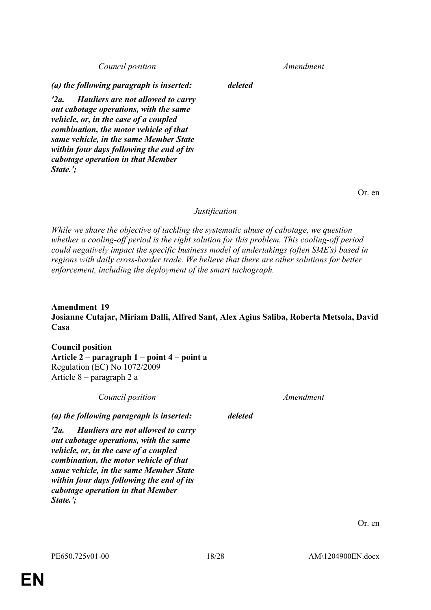*Council position Amendment*

*(a) the following paragraph is inserted: deleted*

*'2a. Hauliers are not allowed to carry out cabotage operations, with the same vehicle, or, in the case of a coupled combination, the motor vehicle of that same vehicle, in the same Member State within four days following the end of its cabotage operation in that Member State.';*

Or. en

### *Justification*

*While we share the objective of tackling the systematic abuse of cabotage, we question whether a cooling-off period is the right solution for this problem. This cooling-off period could negatively impact the specific business model of undertakings (often SME's) based in regions with daily cross-border trade. We believe that there are other solutions for better enforcement, including the deployment of the smart tachograph.*

### **Amendment 19 Josianne Cutajar, Miriam Dalli, Alfred Sant, Alex Agius Saliba, Roberta Metsola, David Casa**

**Council position Article 2 – paragraph 1 – point 4 – point a** Regulation (EC) No 1072/2009 Article 8 – paragraph 2 a

| Council position                                                                                                                                                                                                                                                                                                  |         | Amendment |
|-------------------------------------------------------------------------------------------------------------------------------------------------------------------------------------------------------------------------------------------------------------------------------------------------------------------|---------|-----------|
| (a) the following paragraph is inserted:                                                                                                                                                                                                                                                                          | deleted |           |
| Hauliers are not allowed to carry<br>$'2a$ .<br>out cabotage operations, with the same<br>vehicle, or, in the case of a coupled<br>combination, the motor vehicle of that<br>same vehicle, in the same Member State<br>within four days following the end of its<br>cabotage operation in that Member<br>State.'; |         |           |

Or. en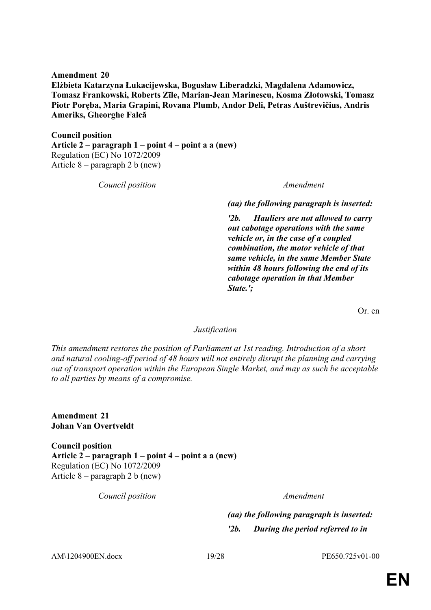**Amendment 20 Elżbieta Katarzyna Łukacijewska, Bogusław Liberadzki, Magdalena Adamowicz, Tomasz Frankowski, Roberts Zīle, Marian-Jean Marinescu, Kosma Złotowski, Tomasz Piotr Poręba, Maria Grapini, Rovana Plumb, Andor Deli, Petras Auštrevičius, Andris Ameriks, Gheorghe Falcă**

**Council position Article 2 – paragraph 1 – point 4 – point a a (new)** Regulation (EC) No 1072/2009 Article 8 – paragraph 2 b (new)

*Council position Amendment*

*(aa) the following paragraph is inserted:*

*'2b. Hauliers are not allowed to carry out cabotage operations with the same vehicle or, in the case of a coupled combination, the motor vehicle of that same vehicle, in the same Member State within 48 hours following the end of its cabotage operation in that Member State.';*

Or. en

#### *Justification*

*This amendment restores the position of Parliament at 1st reading. Introduction of a short and natural cooling-off period of 48 hours will not entirely disrupt the planning and carrying out of transport operation within the European Single Market, and may as such be acceptable to all parties by means of a compromise.*

**Amendment 21 Johan Van Overtveldt**

**Council position Article 2 – paragraph 1 – point 4 – point a a (new)** Regulation (EC) No 1072/2009 Article 8 – paragraph 2 b (new)

*Council position Amendment*

*(aa) the following paragraph is inserted: '2b. During the period referred to in* 

AM\1204900EN.docx 19/28 PE650.725v01-00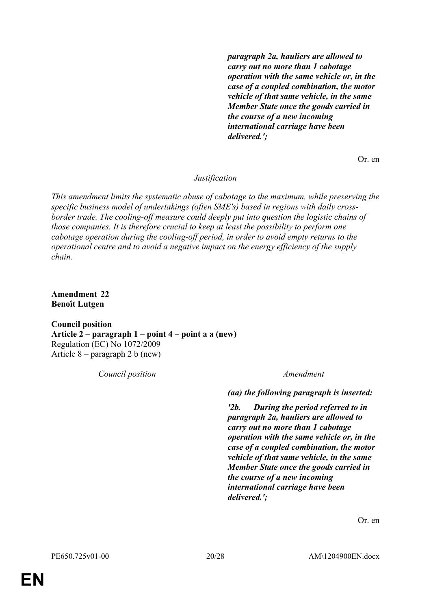*paragraph 2a, hauliers are allowed to carry out no more than 1 cabotage operation with the same vehicle or, in the case of a coupled combination, the motor vehicle of that same vehicle, in the same Member State once the goods carried in the course of a new incoming international carriage have been delivered.';*

Or. en

*Justification*

*This amendment limits the systematic abuse of cabotage to the maximum, while preserving the specific business model of undertakings (often SME's) based in regions with daily crossborder trade. The cooling-off measure could deeply put into question the logistic chains of those companies. It is therefore crucial to keep at least the possibility to perform one cabotage operation during the cooling-off period, in order to avoid empty returns to the operational centre and to avoid a negative impact on the energy efficiency of the supply chain.*

**Amendment 22 Benoît Lutgen**

**Council position Article 2 – paragraph 1 – point 4 – point a a (new)** Regulation (EC) No 1072/2009 Article 8 – paragraph 2 b (new)

*Council position Amendment*

*(aa) the following paragraph is inserted:*

*'2b. During the period referred to in paragraph 2a, hauliers are allowed to carry out no more than 1 cabotage operation with the same vehicle or, in the case of a coupled combination, the motor vehicle of that same vehicle, in the same Member State once the goods carried in the course of a new incoming international carriage have been delivered.';*

Or. en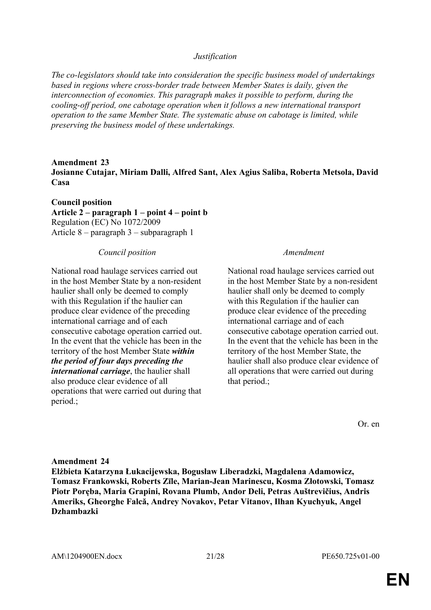#### *Justification*

*The co-legislators should take into consideration the specific business model of undertakings based in regions where cross-border trade between Member States is daily, given the interconnection of economies. This paragraph makes it possible to perform, during the cooling-off period, one cabotage operation when it follows a new international transport operation to the same Member State. The systematic abuse on cabotage is limited, while preserving the business model of these undertakings.*

**Amendment 23 Josianne Cutajar, Miriam Dalli, Alfred Sant, Alex Agius Saliba, Roberta Metsola, David Casa**

**Council position Article 2 – paragraph 1 – point 4 – point b** Regulation (EC) No 1072/2009 Article 8 – paragraph 3 – subparagraph 1

### *Council position Amendment*

National road haulage services carried out in the host Member State by a non-resident haulier shall only be deemed to comply with this Regulation if the haulier can produce clear evidence of the preceding international carriage and of each consecutive cabotage operation carried out. In the event that the vehicle has been in the territory of the host Member State *within the period of four days preceding the international carriage*, the haulier shall also produce clear evidence of all operations that were carried out during that period.;

National road haulage services carried out in the host Member State by a non-resident haulier shall only be deemed to comply with this Regulation if the haulier can produce clear evidence of the preceding international carriage and of each consecutive cabotage operation carried out. In the event that the vehicle has been in the territory of the host Member State, the haulier shall also produce clear evidence of all operations that were carried out during that period.;

Or. en

### **Amendment 24**

**Elżbieta Katarzyna Łukacijewska, Bogusław Liberadzki, Magdalena Adamowicz, Tomasz Frankowski, Roberts Zīle, Marian-Jean Marinescu, Kosma Złotowski, Tomasz Piotr Poręba, Maria Grapini, Rovana Plumb, Andor Deli, Petras Auštrevičius, Andris Ameriks, Gheorghe Falcă, Andrey Novakov, Petar Vitanov, Ilhan Kyuchyuk, Angel Dzhambazki**

AM\1204900EN.docx 21/28 PE650.725v01-00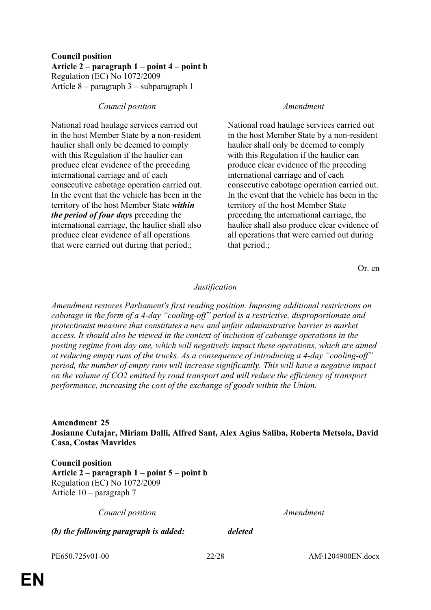### **Council position Article 2 – paragraph 1 – point 4 – point b** Regulation (EC) No 1072/2009 Article 8 – paragraph 3 – subparagraph 1

### *Council position Amendment*

National road haulage services carried out in the host Member State by a non-resident haulier shall only be deemed to comply with this Regulation if the haulier can produce clear evidence of the preceding international carriage and of each consecutive cabotage operation carried out. In the event that the vehicle has been in the territory of the host Member State *within the period of four days* preceding the international carriage, the haulier shall also produce clear evidence of all operations that were carried out during that period.;

National road haulage services carried out in the host Member State by a non-resident haulier shall only be deemed to comply with this Regulation if the haulier can produce clear evidence of the preceding international carriage and of each consecutive cabotage operation carried out. In the event that the vehicle has been in the territory of the host Member State preceding the international carriage, the haulier shall also produce clear evidence of all operations that were carried out during that period.;

Or. en

#### *Justification*

*Amendment restores Parliament's first reading position. Imposing additional restrictions on cabotage in the form of a 4-day "cooling-off" period is a restrictive, disproportionate and protectionist measure that constitutes a new and unfair administrative barrier to market access. It should also be viewed in the context of inclusion of cabotage operations in the posting regime from day one, which will negatively impact these operations, which are aimed at reducing empty runs of the trucks. As a consequence of introducing a 4-day "cooling-off" period, the number of empty runs will increase significantly. This will have a negative impact on the volume of CO2 emitted by road transport and will reduce the efficiency of transport performance, increasing the cost of the exchange of goods within the Union.*

**Amendment 25 Josianne Cutajar, Miriam Dalli, Alfred Sant, Alex Agius Saliba, Roberta Metsola, David Casa, Costas Mavrides**

**Council position Article 2 – paragraph 1 – point 5 – point b** Regulation (EC) No 1072/2009 Article 10 – paragraph 7

*Council position Amendment*

*(b) the following paragraph is added: deleted*

PE650.725v01-00 22/28 AM\1204900EN.docx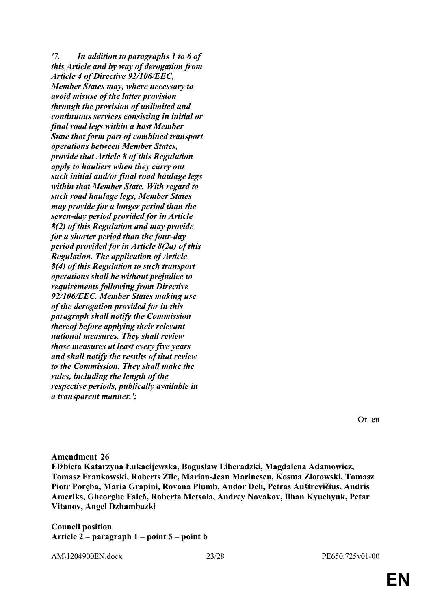*'7. In addition to paragraphs 1 to 6 of this Article and by way of derogation from Article 4 of Directive 92/106/EEC, Member States may, where necessary to avoid misuse of the latter provision through the provision of unlimited and continuous services consisting in initial or final road legs within a host Member State that form part of combined transport operations between Member States, provide that Article 8 of this Regulation apply to hauliers when they carry out such initial and/or final road haulage legs within that Member State. With regard to such road haulage legs, Member States may provide for a longer period than the seven-day period provided for in Article 8(2) of this Regulation and may provide for a shorter period than the four-day period provided for in Article 8(2a) of this Regulation. The application of Article 8(4) of this Regulation to such transport operations shall be without prejudice to requirements following from Directive 92/106/EEC. Member States making use of the derogation provided for in this paragraph shall notify the Commission thereof before applying their relevant national measures. They shall review those measures at least every five years and shall notify the results of that review to the Commission. They shall make the rules, including the length of the respective periods, publically available in a transparent manner.';*

Or. en

**Amendment 26 Elżbieta Katarzyna Łukacijewska, Bogusław Liberadzki, Magdalena Adamowicz, Tomasz Frankowski, Roberts Zīle, Marian-Jean Marinescu, Kosma Złotowski, Tomasz Piotr Poręba, Maria Grapini, Rovana Plumb, Andor Deli, Petras Auštrevičius, Andris Ameriks, Gheorghe Falcă, Roberta Metsola, Andrey Novakov, Ilhan Kyuchyuk, Petar Vitanov, Angel Dzhambazki**

**Council position Article 2 – paragraph 1 – point 5 – point b**

AM\1204900EN.docx 23/28 PE650.725v01-00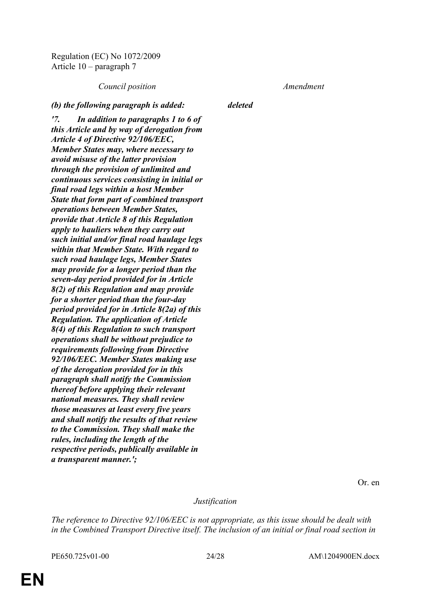Regulation (EC) No 1072/2009 Article 10 – paragraph 7

*Council position Amendment*

*(b) the following paragraph is added: deleted*

*'7. In addition to paragraphs 1 to 6 of this Article and by way of derogation from Article 4 of Directive 92/106/EEC, Member States may, where necessary to avoid misuse of the latter provision through the provision of unlimited and continuous services consisting in initial or final road legs within a host Member State that form part of combined transport operations between Member States, provide that Article 8 of this Regulation apply to hauliers when they carry out such initial and/or final road haulage legs within that Member State. With regard to such road haulage legs, Member States may provide for a longer period than the seven-day period provided for in Article 8(2) of this Regulation and may provide for a shorter period than the four-day period provided for in Article 8(2a) of this Regulation. The application of Article 8(4) of this Regulation to such transport operations shall be without prejudice to requirements following from Directive 92/106/EEC. Member States making use of the derogation provided for in this paragraph shall notify the Commission thereof before applying their relevant national measures. They shall review those measures at least every five years and shall notify the results of that review to the Commission. They shall make the rules, including the length of the respective periods, publically available in a transparent manner.';*

Or. en

*Justification*

*The reference to Directive 92/106/EEC is not appropriate, as this issue should be dealt with in the Combined Transport Directive itself. The inclusion of an initial or final road section in* 

PE650.725v01-00 24/28 AM\1204900EN.docx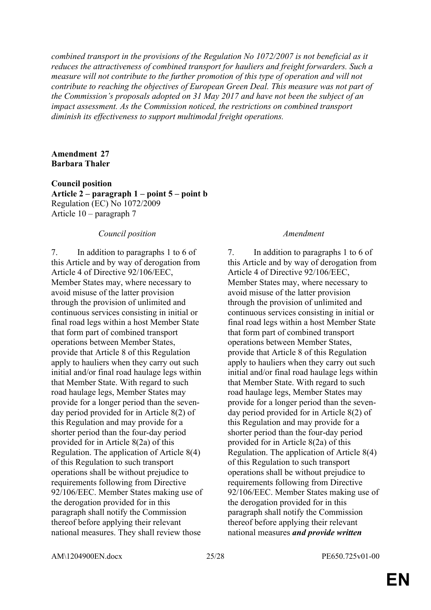*combined transport in the provisions of the Regulation No 1072/2007 is not beneficial as it reduces the attractiveness of combined transport for hauliers and freight forwarders. Such a measure will not contribute to the further promotion of this type of operation and will not contribute to reaching the objectives of European Green Deal. This measure was not part of the Commission's proposals adopted on 31 May 2017 and have not been the subject of an impact assessment. As the Commission noticed, the restrictions on combined transport diminish its effectiveness to support multimodal freight operations.*

#### **Amendment 27 Barbara Thaler**

**Council position**

**Article 2 – paragraph 1 – point 5 – point b** Regulation (EC) No 1072/2009 Article 10 – paragraph 7

#### *Council position Amendment*

7. In addition to paragraphs 1 to 6 of this Article and by way of derogation from Article 4 of Directive 92/106/EEC, Member States may, where necessary to avoid misuse of the latter provision through the provision of unlimited and continuous services consisting in initial or final road legs within a host Member State that form part of combined transport operations between Member States, provide that Article 8 of this Regulation apply to hauliers when they carry out such initial and/or final road haulage legs within that Member State. With regard to such road haulage legs, Member States may provide for a longer period than the sevenday period provided for in Article 8(2) of this Regulation and may provide for a shorter period than the four-day period provided for in Article 8(2a) of this Regulation. The application of Article 8(4) of this Regulation to such transport operations shall be without prejudice to requirements following from Directive 92/106/EEC. Member States making use of the derogation provided for in this paragraph shall notify the Commission thereof before applying their relevant national measures. They shall review those

7. In addition to paragraphs 1 to 6 of this Article and by way of derogation from Article 4 of Directive 92/106/EEC, Member States may, where necessary to avoid misuse of the latter provision through the provision of unlimited and continuous services consisting in initial or final road legs within a host Member State that form part of combined transport operations between Member States, provide that Article 8 of this Regulation apply to hauliers when they carry out such initial and/or final road haulage legs within that Member State. With regard to such road haulage legs, Member States may provide for a longer period than the sevenday period provided for in Article 8(2) of this Regulation and may provide for a shorter period than the four-day period provided for in Article 8(2a) of this Regulation. The application of Article 8(4) of this Regulation to such transport operations shall be without prejudice to requirements following from Directive 92/106/EEC. Member States making use of the derogation provided for in this paragraph shall notify the Commission thereof before applying their relevant national measures *and provide written* 

AM\1204900EN.docx 25/28 PE650.725v01-00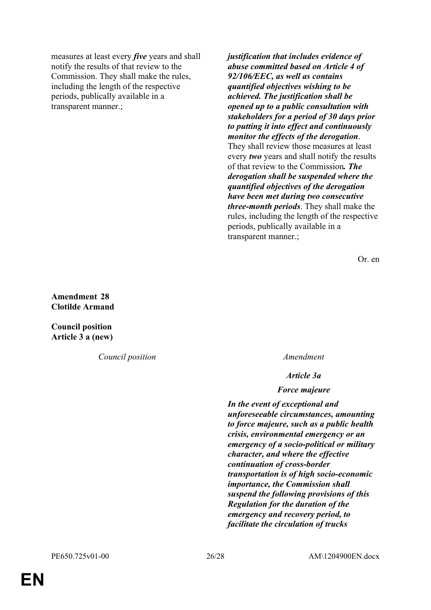measures at least every *five* years and shall notify the results of that review to the Commission. They shall make the rules, including the length of the respective periods, publically available in a transparent manner.;

*justification that includes evidence of abuse committed based on Article 4 of 92/106/EEC, as well as contains quantified objectives wishing to be achieved. The justification shall be opened up to a public consultation with stakeholders for a period of 30 days prior to putting it into effect and continuously monitor the effects of the derogation*. They shall review those measures at least every *two* years and shall notify the results of that review to the Commission*. The derogation shall be suspended where the quantified objectives of the derogation have been met during two consecutive three-month periods*. They shall make the rules, including the length of the respective periods, publically available in a transparent manner.;

Or. en

**Amendment 28 Clotilde Armand**

**Council position Article 3 a (new)**

*Council position Amendment*

*Article 3a*

*Force majeure*

*In the event of exceptional and unforeseeable circumstances, amounting to force majeure, such as a public health crisis, environmental emergency or an emergency of a socio-political or military character, and where the effective continuation of cross-border transportation is of high socio-economic importance, the Commission shall suspend the following provisions of this Regulation for the duration of the emergency and recovery period, to facilitate the circulation of trucks*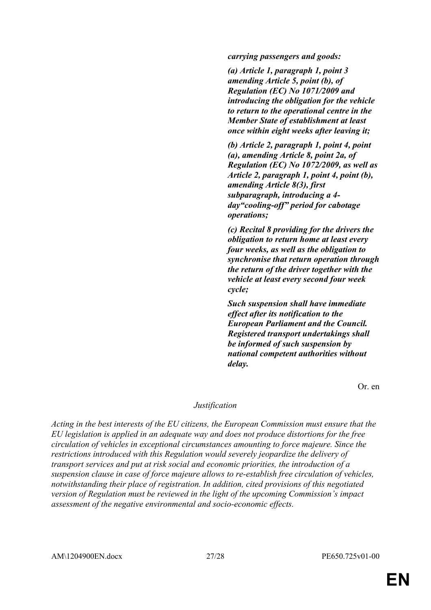*carrying passengers and goods:*

*(a) Article 1, paragraph 1, point 3 amending Article 5, point (b), of Regulation (EC) No 1071/2009 and introducing the obligation for the vehicle to return to the operational centre in the Member State of establishment at least once within eight weeks after leaving it;*

*(b) Article 2, paragraph 1, point 4, point (a), amending Article 8, point 2a, of Regulation (EC) No 1072/2009, as well as Article 2, paragraph 1, point 4, point (b), amending Article 8(3), first subparagraph, introducing a 4 day"cooling-off" period for cabotage operations;*

*(c) Recital 8 providing for the drivers the obligation to return home at least every four weeks, as well as the obligation to synchronise that return operation through the return of the driver together with the vehicle at least every second four week cycle;*

*Such suspension shall have immediate effect after its notification to the European Parliament and the Council. Registered transport undertakings shall be informed of such suspension by national competent authorities without delay.*

Or. en

#### *Justification*

*Acting in the best interests of the EU citizens, the European Commission must ensure that the EU legislation is applied in an adequate way and does not produce distortions for the free circulation of vehicles in exceptional circumstances amounting to force majeure. Since the restrictions introduced with this Regulation would severely jeopardize the delivery of transport services and put at risk social and economic priorities, the introduction of a suspension clause in case of force majeure allows to re-establish free circulation of vehicles, notwithstanding their place of registration. In addition, cited provisions of this negotiated version of Regulation must be reviewed in the light of the upcoming Commission's impact assessment of the negative environmental and socio-economic effects.*

AM\1204900EN.docx 27/28 PE650.725v01-00